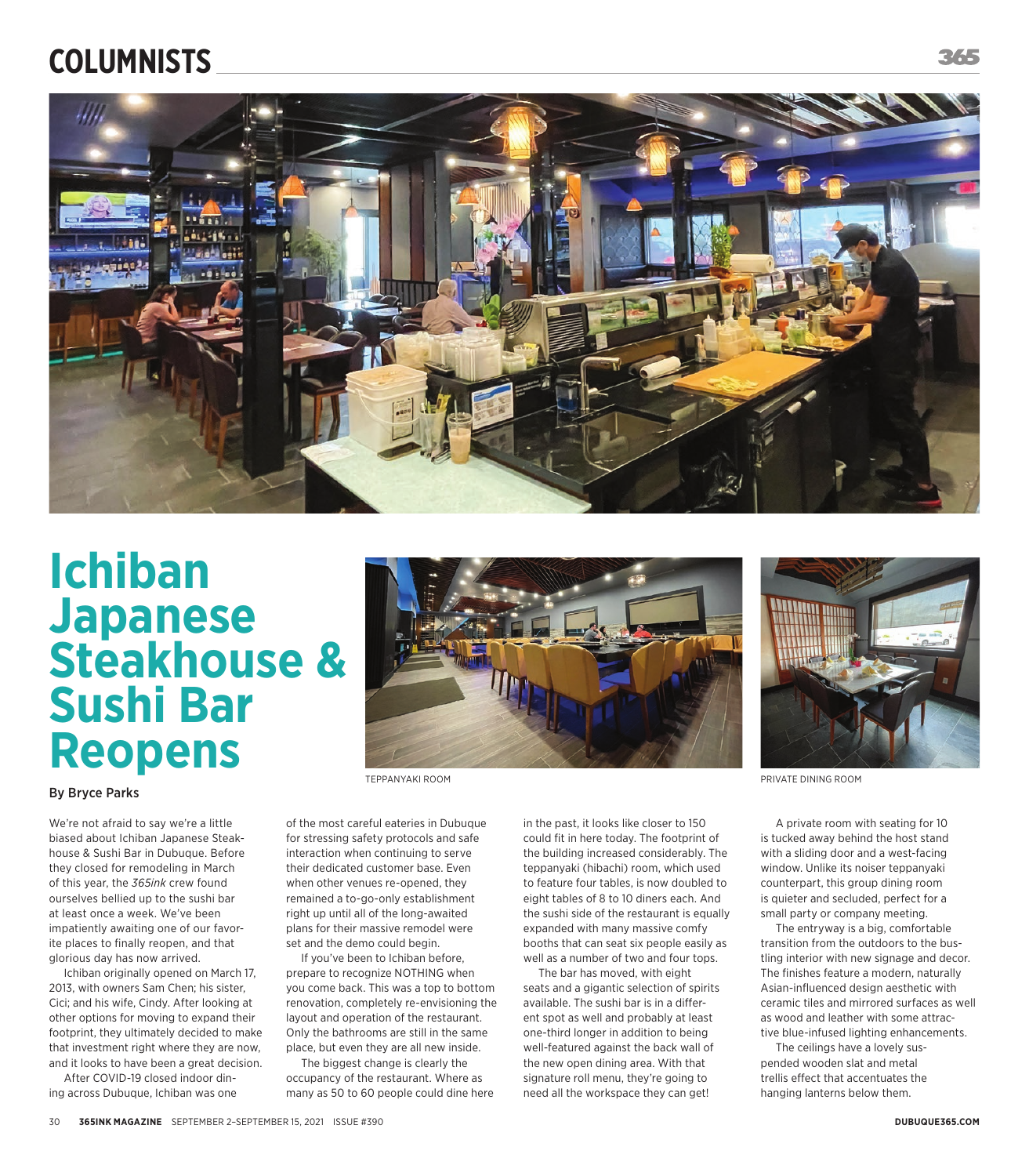## **COLUMNISTS**



## **Ichiban Japanese Steakhouse & Sushi Bar Reopens**





## By Bryce Parks

We're not afraid to say we're a little biased about Ichiban Japanese Steakhouse & Sushi Bar in Dubuque. Before they closed for remodeling in March of this year, the *365ink* crew found ourselves bellied up to the sushi bar at least once a week. We've been impatiently awaiting one of our favorite places to finally reopen, and that glorious day has now arrived.

Ichiban originally opened on March 17, 2013, with owners Sam Chen; his sister, Cici; and his wife, Cindy. After looking at other options for moving to expand their footprint, they ultimately decided to make that investment right where they are now, and it looks to have been a great decision.

After COVID-19 closed indoor dining across Dubuque, Ichiban was one TEPPANYAKI ROOM

of the most careful eateries in Dubuque for stressing safety protocols and safe interaction when continuing to serve their dedicated customer base. Even when other venues re-opened, they remained a to-go-only establishment right up until all of the long-awaited plans for their massive remodel were set and the demo could begin.

If you've been to Ichiban before, prepare to recognize NOTHING when you come back. This was a top to bottom renovation, completely re-envisioning the layout and operation of the restaurant. Only the bathrooms are still in the same place, but even they are all new inside.

The biggest change is clearly the occupancy of the restaurant. Where as many as 50 to 60 people could dine here

in the past, it looks like closer to 150 could fit in here today. The footprint of the building increased considerably. The teppanyaki (hibachi) room, which used to feature four tables, is now doubled to eight tables of 8 to 10 diners each. And the sushi side of the restaurant is equally expanded with many massive comfy booths that can seat six people easily as well as a number of two and four tops.

The bar has moved, with eight seats and a gigantic selection of spirits available. The sushi bar is in a different spot as well and probably at least one-third longer in addition to being well-featured against the back wall of the new open dining area. With that signature roll menu, they're going to need all the workspace they can get!

PRIVATE DINING ROOM

A private room with seating for 10 is tucked away behind the host stand with a sliding door and a west-facing window. Unlike its noiser teppanyaki counterpart, this group dining room is quieter and secluded, perfect for a small party or company meeting.

The entryway is a big, comfortable transition from the outdoors to the bustling interior with new signage and decor. The finishes feature a modern, naturally Asian-influenced design aesthetic with ceramic tiles and mirrored surfaces as well as wood and leather with some attractive blue-infused lighting enhancements.

The ceilings have a lovely suspended wooden slat and metal trellis effect that accentuates the hanging lanterns below them.